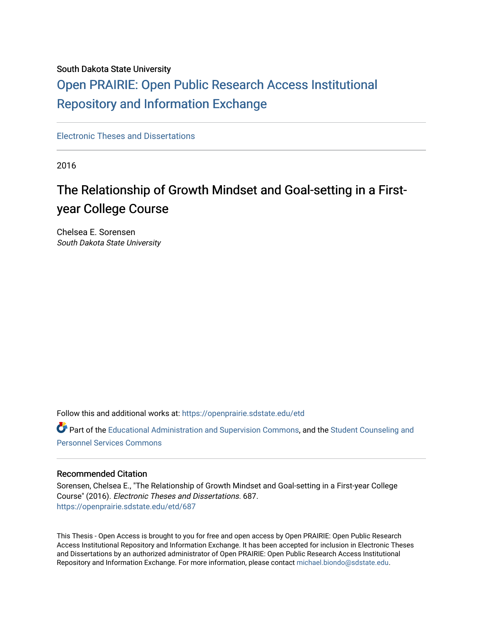## South Dakota State University

## [Open PRAIRIE: Open Public Research Access Institutional](https://openprairie.sdstate.edu/)  [Repository and Information Exchange](https://openprairie.sdstate.edu/)

[Electronic Theses and Dissertations](https://openprairie.sdstate.edu/etd)

2016

## The Relationship of Growth Mindset and Goal-setting in a Firstyear College Course

Chelsea E. Sorensen South Dakota State University

Follow this and additional works at: [https://openprairie.sdstate.edu/etd](https://openprairie.sdstate.edu/etd?utm_source=openprairie.sdstate.edu%2Fetd%2F687&utm_medium=PDF&utm_campaign=PDFCoverPages)

Part of the [Educational Administration and Supervision Commons](http://network.bepress.com/hgg/discipline/787?utm_source=openprairie.sdstate.edu%2Fetd%2F687&utm_medium=PDF&utm_campaign=PDFCoverPages), and the Student Counseling and [Personnel Services Commons](http://network.bepress.com/hgg/discipline/802?utm_source=openprairie.sdstate.edu%2Fetd%2F687&utm_medium=PDF&utm_campaign=PDFCoverPages)

## Recommended Citation

Sorensen, Chelsea E., "The Relationship of Growth Mindset and Goal-setting in a First-year College Course" (2016). Electronic Theses and Dissertations. 687. [https://openprairie.sdstate.edu/etd/687](https://openprairie.sdstate.edu/etd/687?utm_source=openprairie.sdstate.edu%2Fetd%2F687&utm_medium=PDF&utm_campaign=PDFCoverPages) 

This Thesis - Open Access is brought to you for free and open access by Open PRAIRIE: Open Public Research Access Institutional Repository and Information Exchange. It has been accepted for inclusion in Electronic Theses and Dissertations by an authorized administrator of Open PRAIRIE: Open Public Research Access Institutional Repository and Information Exchange. For more information, please contact [michael.biondo@sdstate.edu.](mailto:michael.biondo@sdstate.edu)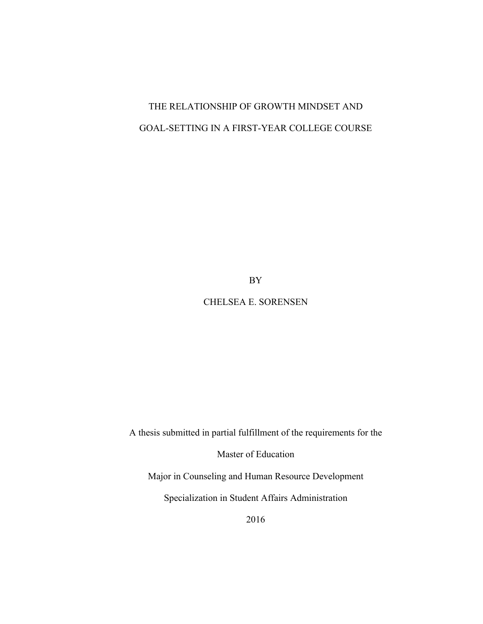## THE RELATIONSHIP OF GROWTH MINDSET AND GOAL-SETTING IN A FIRST-YEAR COLLEGE COURSE

BY

## CHELSEA E. SORENSEN

A thesis submitted in partial fulfillment of the requirements for the

Master of Education

Major in Counseling and Human Resource Development

Specialization in Student Affairs Administration

2016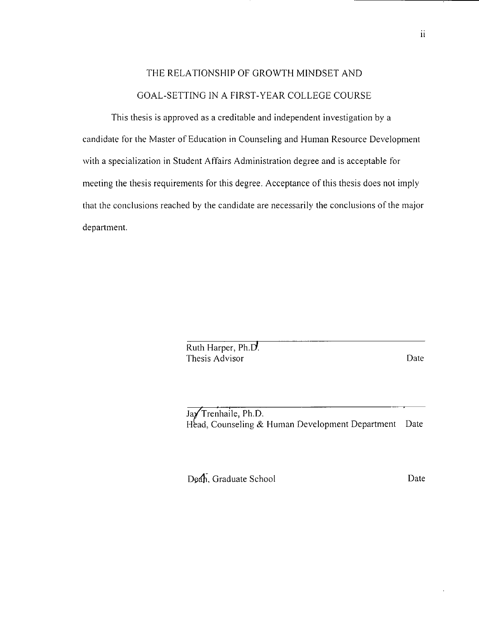## THE RELATIONSHIP OF GROWTH MINDSET AND GOAL-SETTING IN A FIRST-YEAR COLLEGE COURSE

This thesis is approved as a creditable and independent investigation by a candidate for the Master of Education in Counseling and Human Resource Development with a specialization in Student Affairs Administration degree and is acceptable for meeting the thesis requirements for this degree. Acceptance of this thesis does not imply that the conclusions reached by the candidate are necessarily the conclusions of the major department.

> Ruth Harper, Ph.D. Thesis Advisor

Date

Jay Trenhaile, Ph.D. Head, Counseling & Human Development Department Date

Deah, Graduate School

Date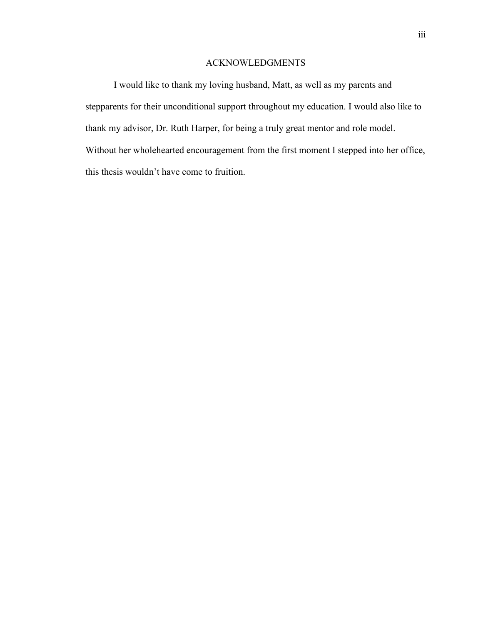## ACKNOWLEDGMENTS

I would like to thank my loving husband, Matt, as well as my parents and stepparents for their unconditional support throughout my education. I would also like to thank my advisor, Dr. Ruth Harper, for being a truly great mentor and role model. Without her wholehearted encouragement from the first moment I stepped into her office, this thesis wouldn't have come to fruition.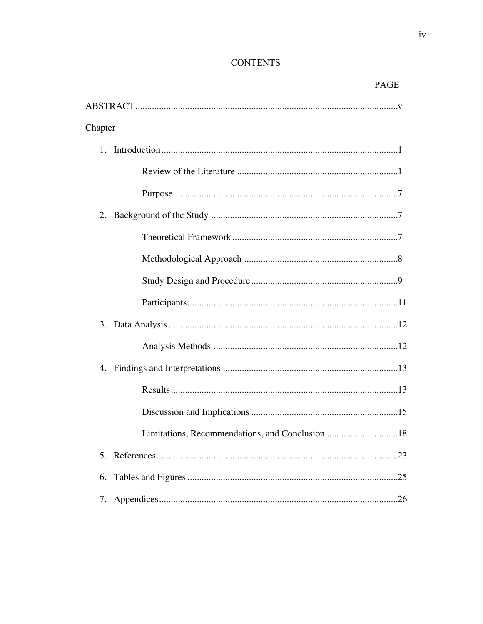## **CONTENTS**

| PAGE    |
|---------|
|         |
| Chapter |
|         |
|         |
|         |
|         |
|         |
|         |
|         |
|         |
|         |
|         |
|         |
|         |
|         |
|         |
|         |
| 6.      |
|         |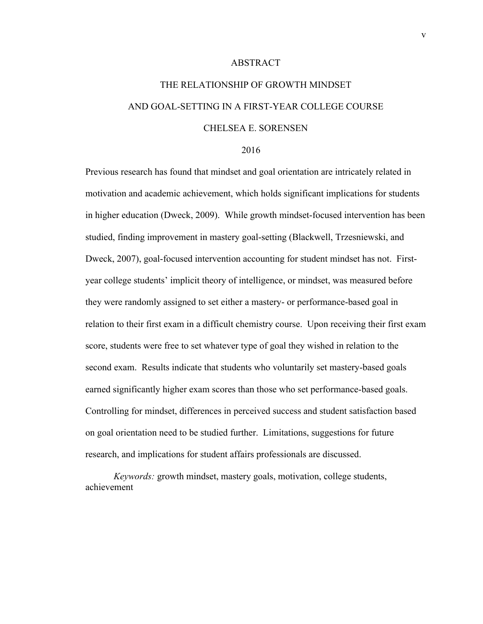#### ABSTRACT

# THE RELATIONSHIP OF GROWTH MINDSET AND GOAL-SETTING IN A FIRST-YEAR COLLEGE COURSE CHELSEA E. SORENSEN

#### 2016

Previous research has found that mindset and goal orientation are intricately related in motivation and academic achievement, which holds significant implications for students in higher education (Dweck, 2009). While growth mindset-focused intervention has been studied, finding improvement in mastery goal-setting (Blackwell, Trzesniewski, and Dweck, 2007), goal-focused intervention accounting for student mindset has not. Firstyear college students' implicit theory of intelligence, or mindset, was measured before they were randomly assigned to set either a mastery- or performance-based goal in relation to their first exam in a difficult chemistry course. Upon receiving their first exam score, students were free to set whatever type of goal they wished in relation to the second exam. Results indicate that students who voluntarily set mastery-based goals earned significantly higher exam scores than those who set performance-based goals. Controlling for mindset, differences in perceived success and student satisfaction based on goal orientation need to be studied further. Limitations, suggestions for future research, and implications for student affairs professionals are discussed.

*Keywords:* growth mindset, mastery goals, motivation, college students, achievement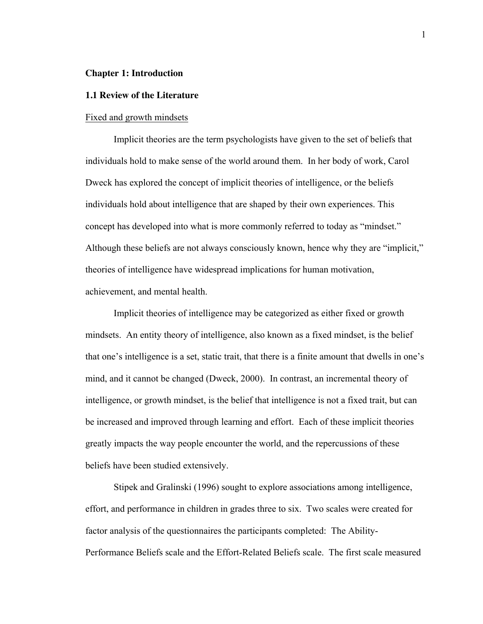#### **Chapter 1: Introduction**

#### **1.1 Review of the Literature**

#### Fixed and growth mindsets

Implicit theories are the term psychologists have given to the set of beliefs that individuals hold to make sense of the world around them. In her body of work, Carol Dweck has explored the concept of implicit theories of intelligence, or the beliefs individuals hold about intelligence that are shaped by their own experiences. This concept has developed into what is more commonly referred to today as "mindset." Although these beliefs are not always consciously known, hence why they are "implicit," theories of intelligence have widespread implications for human motivation, achievement, and mental health.

Implicit theories of intelligence may be categorized as either fixed or growth mindsets. An entity theory of intelligence, also known as a fixed mindset, is the belief that one's intelligence is a set, static trait, that there is a finite amount that dwells in one's mind, and it cannot be changed (Dweck, 2000). In contrast, an incremental theory of intelligence, or growth mindset, is the belief that intelligence is not a fixed trait, but can be increased and improved through learning and effort. Each of these implicit theories greatly impacts the way people encounter the world, and the repercussions of these beliefs have been studied extensively.

Stipek and Gralinski (1996) sought to explore associations among intelligence, effort, and performance in children in grades three to six. Two scales were created for factor analysis of the questionnaires the participants completed: The Ability-Performance Beliefs scale and the Effort-Related Beliefs scale. The first scale measured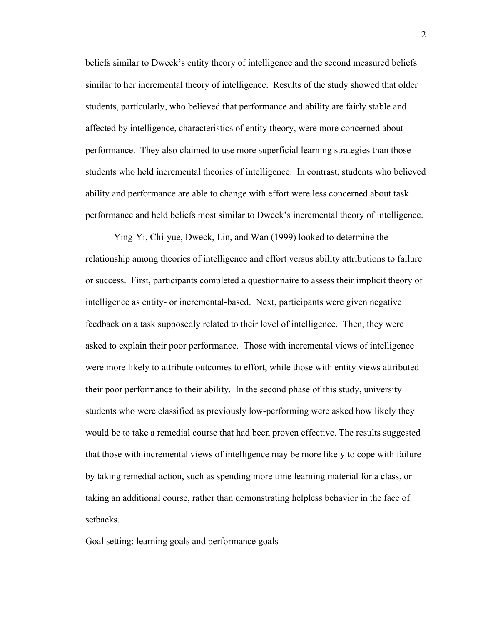beliefs similar to Dweck's entity theory of intelligence and the second measured beliefs similar to her incremental theory of intelligence. Results of the study showed that older students, particularly, who believed that performance and ability are fairly stable and affected by intelligence, characteristics of entity theory, were more concerned about performance. They also claimed to use more superficial learning strategies than those students who held incremental theories of intelligence. In contrast, students who believed ability and performance are able to change with effort were less concerned about task performance and held beliefs most similar to Dweck's incremental theory of intelligence.

Ying-Yi, Chi-yue, Dweck, Lin, and Wan (1999) looked to determine the relationship among theories of intelligence and effort versus ability attributions to failure or success. First, participants completed a questionnaire to assess their implicit theory of intelligence as entity- or incremental-based. Next, participants were given negative feedback on a task supposedly related to their level of intelligence. Then, they were asked to explain their poor performance. Those with incremental views of intelligence were more likely to attribute outcomes to effort, while those with entity views attributed their poor performance to their ability. In the second phase of this study, university students who were classified as previously low-performing were asked how likely they would be to take a remedial course that had been proven effective. The results suggested that those with incremental views of intelligence may be more likely to cope with failure by taking remedial action, such as spending more time learning material for a class, or taking an additional course, rather than demonstrating helpless behavior in the face of setbacks.

## Goal setting; learning goals and performance goals

2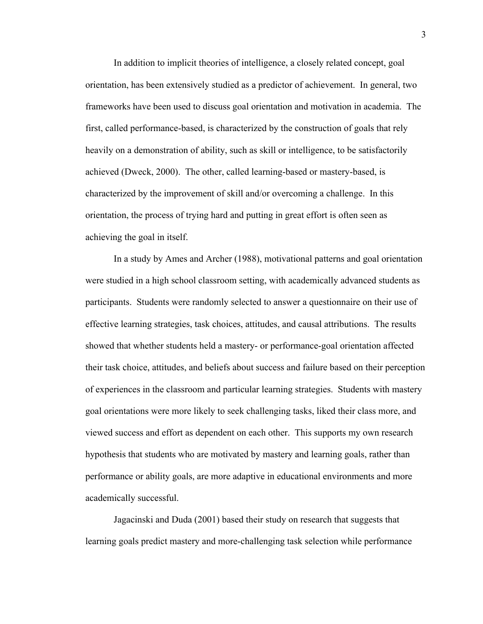In addition to implicit theories of intelligence, a closely related concept, goal orientation, has been extensively studied as a predictor of achievement. In general, two frameworks have been used to discuss goal orientation and motivation in academia. The first, called performance-based, is characterized by the construction of goals that rely heavily on a demonstration of ability, such as skill or intelligence, to be satisfactorily achieved (Dweck, 2000). The other, called learning-based or mastery-based, is characterized by the improvement of skill and/or overcoming a challenge. In this orientation, the process of trying hard and putting in great effort is often seen as achieving the goal in itself.

In a study by Ames and Archer (1988), motivational patterns and goal orientation were studied in a high school classroom setting, with academically advanced students as participants. Students were randomly selected to answer a questionnaire on their use of effective learning strategies, task choices, attitudes, and causal attributions. The results showed that whether students held a mastery- or performance-goal orientation affected their task choice, attitudes, and beliefs about success and failure based on their perception of experiences in the classroom and particular learning strategies. Students with mastery goal orientations were more likely to seek challenging tasks, liked their class more, and viewed success and effort as dependent on each other. This supports my own research hypothesis that students who are motivated by mastery and learning goals, rather than performance or ability goals, are more adaptive in educational environments and more academically successful.

Jagacinski and Duda (2001) based their study on research that suggests that learning goals predict mastery and more-challenging task selection while performance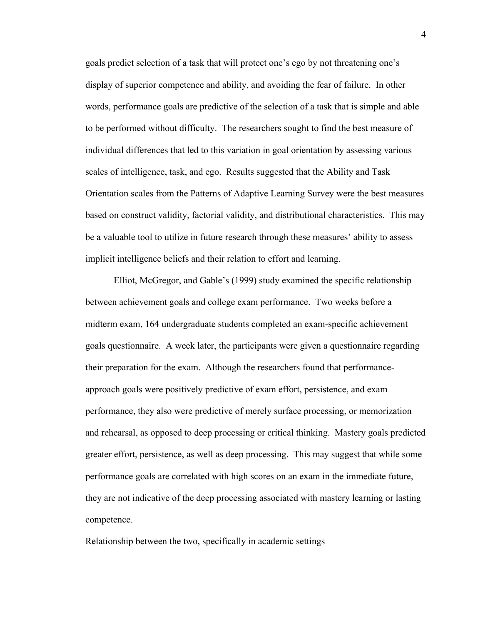goals predict selection of a task that will protect one's ego by not threatening one's display of superior competence and ability, and avoiding the fear of failure. In other words, performance goals are predictive of the selection of a task that is simple and able to be performed without difficulty. The researchers sought to find the best measure of individual differences that led to this variation in goal orientation by assessing various scales of intelligence, task, and ego. Results suggested that the Ability and Task Orientation scales from the Patterns of Adaptive Learning Survey were the best measures based on construct validity, factorial validity, and distributional characteristics. This may be a valuable tool to utilize in future research through these measures' ability to assess implicit intelligence beliefs and their relation to effort and learning.

Elliot, McGregor, and Gable's (1999) study examined the specific relationship between achievement goals and college exam performance. Two weeks before a midterm exam, 164 undergraduate students completed an exam-specific achievement goals questionnaire. A week later, the participants were given a questionnaire regarding their preparation for the exam. Although the researchers found that performanceapproach goals were positively predictive of exam effort, persistence, and exam performance, they also were predictive of merely surface processing, or memorization and rehearsal, as opposed to deep processing or critical thinking. Mastery goals predicted greater effort, persistence, as well as deep processing. This may suggest that while some performance goals are correlated with high scores on an exam in the immediate future, they are not indicative of the deep processing associated with mastery learning or lasting competence.

Relationship between the two, specifically in academic settings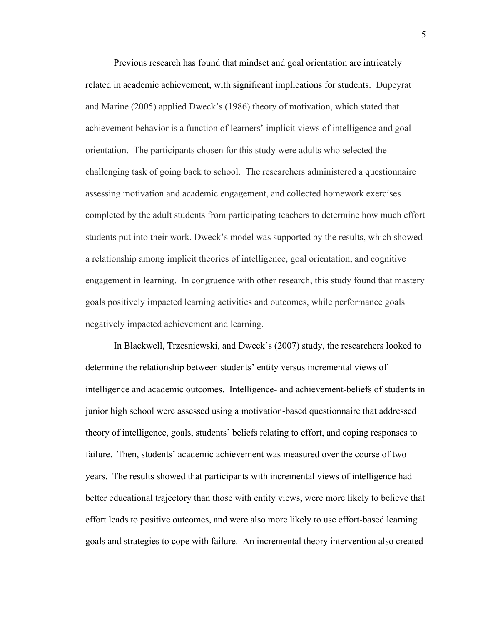Previous research has found that mindset and goal orientation are intricately related in academic achievement, with significant implications for students. Dupeyrat and Marine (2005) applied Dweck's (1986) theory of motivation, which stated that achievement behavior is a function of learners' implicit views of intelligence and goal orientation. The participants chosen for this study were adults who selected the challenging task of going back to school. The researchers administered a questionnaire assessing motivation and academic engagement, and collected homework exercises completed by the adult students from participating teachers to determine how much effort students put into their work. Dweck's model was supported by the results, which showed a relationship among implicit theories of intelligence, goal orientation, and cognitive engagement in learning. In congruence with other research, this study found that mastery goals positively impacted learning activities and outcomes, while performance goals negatively impacted achievement and learning.

In Blackwell, Trzesniewski, and Dweck's (2007) study, the researchers looked to determine the relationship between students' entity versus incremental views of intelligence and academic outcomes. Intelligence- and achievement-beliefs of students in junior high school were assessed using a motivation-based questionnaire that addressed theory of intelligence, goals, students' beliefs relating to effort, and coping responses to failure. Then, students' academic achievement was measured over the course of two years. The results showed that participants with incremental views of intelligence had better educational trajectory than those with entity views, were more likely to believe that effort leads to positive outcomes, and were also more likely to use effort-based learning goals and strategies to cope with failure. An incremental theory intervention also created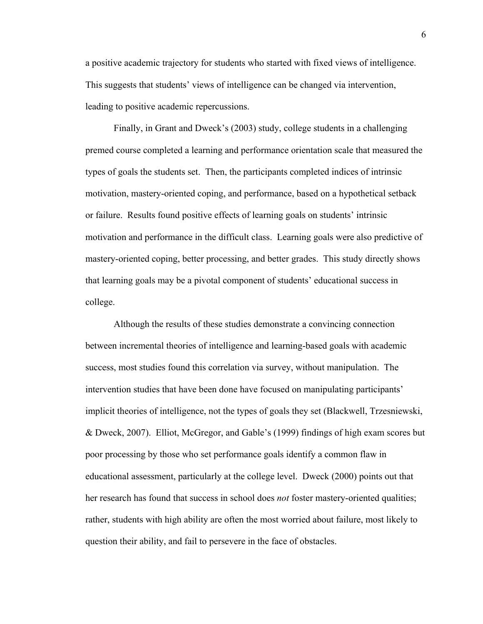a positive academic trajectory for students who started with fixed views of intelligence. This suggests that students' views of intelligence can be changed via intervention, leading to positive academic repercussions.

Finally, in Grant and Dweck's (2003) study, college students in a challenging premed course completed a learning and performance orientation scale that measured the types of goals the students set. Then, the participants completed indices of intrinsic motivation, mastery-oriented coping, and performance, based on a hypothetical setback or failure. Results found positive effects of learning goals on students' intrinsic motivation and performance in the difficult class. Learning goals were also predictive of mastery-oriented coping, better processing, and better grades. This study directly shows that learning goals may be a pivotal component of students' educational success in college.

Although the results of these studies demonstrate a convincing connection between incremental theories of intelligence and learning-based goals with academic success, most studies found this correlation via survey, without manipulation. The intervention studies that have been done have focused on manipulating participants' implicit theories of intelligence, not the types of goals they set (Blackwell, Trzesniewski, & Dweck, 2007). Elliot, McGregor, and Gable's (1999) findings of high exam scores but poor processing by those who set performance goals identify a common flaw in educational assessment, particularly at the college level. Dweck (2000) points out that her research has found that success in school does *not* foster mastery-oriented qualities; rather, students with high ability are often the most worried about failure, most likely to question their ability, and fail to persevere in the face of obstacles.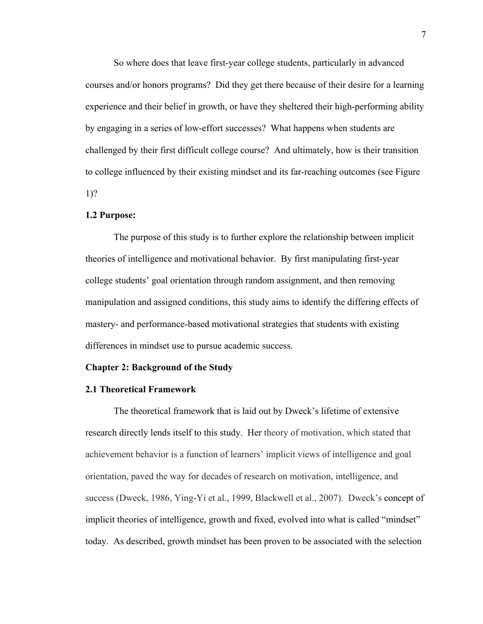So where does that leave first-year college students, particularly in advanced courses and/or honors programs? Did they get there because of their desire for a learning experience and their belief in growth, or have they sheltered their high-performing ability by engaging in a series of low-effort successes? What happens when students are challenged by their first difficult college course? And ultimately, how is their transition to college influenced by their existing mindset and its far-reaching outcomes (see Figure 1)?

#### **1.2 Purpose:**

The purpose of this study is to further explore the relationship between implicit theories of intelligence and motivational behavior. By first manipulating first-year college students' goal orientation through random assignment, and then removing manipulation and assigned conditions, this study aims to identify the differing effects of mastery- and performance-based motivational strategies that students with existing differences in mindset use to pursue academic success.

#### **Chapter 2: Background of the Study**

### **2.1 Theoretical Framework**

The theoretical framework that is laid out by Dweck's lifetime of extensive research directly lends itself to this study. Her theory of motivation, which stated that achievement behavior is a function of learners' implicit views of intelligence and goal orientation, paved the way for decades of research on motivation, intelligence, and success (Dweck, 1986, Ying-Yi et al., 1999, Blackwell et al., 2007). Dweck's concept of implicit theories of intelligence, growth and fixed, evolved into what is called "mindset" today. As described, growth mindset has been proven to be associated with the selection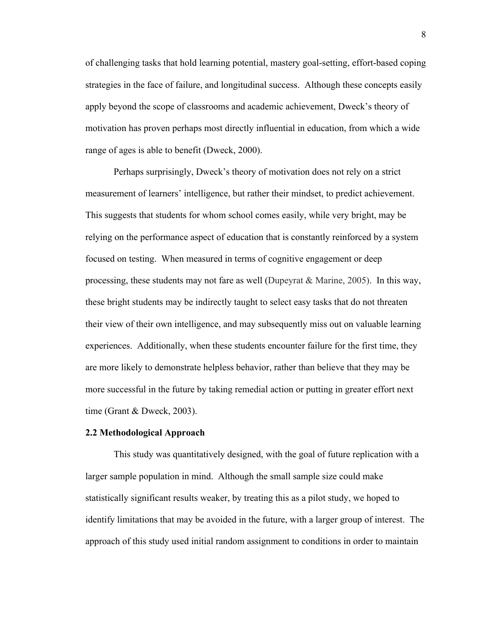of challenging tasks that hold learning potential, mastery goal-setting, effort-based coping strategies in the face of failure, and longitudinal success. Although these concepts easily apply beyond the scope of classrooms and academic achievement, Dweck's theory of motivation has proven perhaps most directly influential in education, from which a wide range of ages is able to benefit (Dweck, 2000).

Perhaps surprisingly, Dweck's theory of motivation does not rely on a strict measurement of learners' intelligence, but rather their mindset, to predict achievement. This suggests that students for whom school comes easily, while very bright, may be relying on the performance aspect of education that is constantly reinforced by a system focused on testing. When measured in terms of cognitive engagement or deep processing, these students may not fare as well (Dupeyrat & Marine, 2005). In this way, these bright students may be indirectly taught to select easy tasks that do not threaten their view of their own intelligence, and may subsequently miss out on valuable learning experiences. Additionally, when these students encounter failure for the first time, they are more likely to demonstrate helpless behavior, rather than believe that they may be more successful in the future by taking remedial action or putting in greater effort next time (Grant & Dweck, 2003).

#### **2.2 Methodological Approach**

This study was quantitatively designed, with the goal of future replication with a larger sample population in mind. Although the small sample size could make statistically significant results weaker, by treating this as a pilot study, we hoped to identify limitations that may be avoided in the future, with a larger group of interest. The approach of this study used initial random assignment to conditions in order to maintain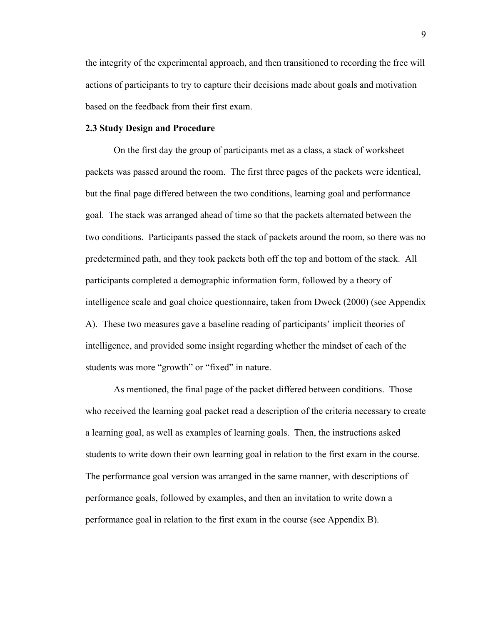the integrity of the experimental approach, and then transitioned to recording the free will actions of participants to try to capture their decisions made about goals and motivation based on the feedback from their first exam.

#### **2.3 Study Design and Procedure**

On the first day the group of participants met as a class, a stack of worksheet packets was passed around the room. The first three pages of the packets were identical, but the final page differed between the two conditions, learning goal and performance goal. The stack was arranged ahead of time so that the packets alternated between the two conditions. Participants passed the stack of packets around the room, so there was no predetermined path, and they took packets both off the top and bottom of the stack. All participants completed a demographic information form, followed by a theory of intelligence scale and goal choice questionnaire, taken from Dweck (2000) (see Appendix A). These two measures gave a baseline reading of participants' implicit theories of intelligence, and provided some insight regarding whether the mindset of each of the students was more "growth" or "fixed" in nature.

As mentioned, the final page of the packet differed between conditions. Those who received the learning goal packet read a description of the criteria necessary to create a learning goal, as well as examples of learning goals. Then, the instructions asked students to write down their own learning goal in relation to the first exam in the course. The performance goal version was arranged in the same manner, with descriptions of performance goals, followed by examples, and then an invitation to write down a performance goal in relation to the first exam in the course (see Appendix B).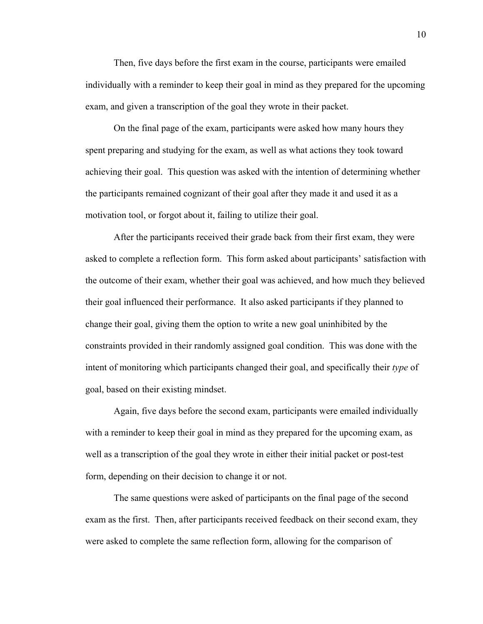Then, five days before the first exam in the course, participants were emailed individually with a reminder to keep their goal in mind as they prepared for the upcoming exam, and given a transcription of the goal they wrote in their packet.

On the final page of the exam, participants were asked how many hours they spent preparing and studying for the exam, as well as what actions they took toward achieving their goal. This question was asked with the intention of determining whether the participants remained cognizant of their goal after they made it and used it as a motivation tool, or forgot about it, failing to utilize their goal.

After the participants received their grade back from their first exam, they were asked to complete a reflection form. This form asked about participants' satisfaction with the outcome of their exam, whether their goal was achieved, and how much they believed their goal influenced their performance. It also asked participants if they planned to change their goal, giving them the option to write a new goal uninhibited by the constraints provided in their randomly assigned goal condition. This was done with the intent of monitoring which participants changed their goal, and specifically their *type* of goal, based on their existing mindset.

Again, five days before the second exam, participants were emailed individually with a reminder to keep their goal in mind as they prepared for the upcoming exam, as well as a transcription of the goal they wrote in either their initial packet or post-test form, depending on their decision to change it or not.

The same questions were asked of participants on the final page of the second exam as the first. Then, after participants received feedback on their second exam, they were asked to complete the same reflection form, allowing for the comparison of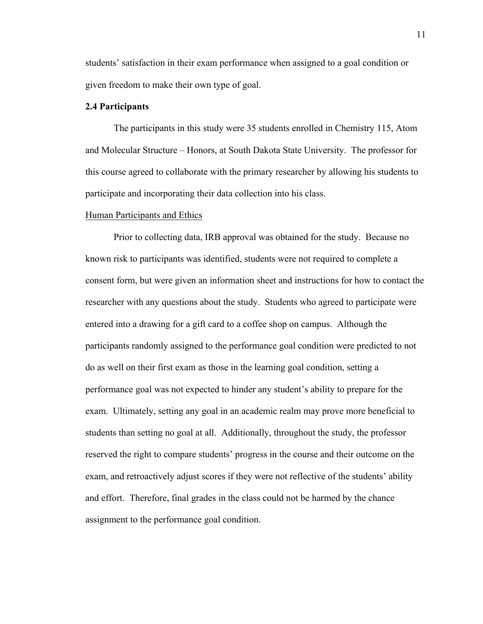students' satisfaction in their exam performance when assigned to a goal condition or given freedom to make their own type of goal.

## **2.4 Participants**

The participants in this study were 35 students enrolled in Chemistry 115, Atom and Molecular Structure – Honors, at South Dakota State University. The professor for this course agreed to collaborate with the primary researcher by allowing his students to participate and incorporating their data collection into his class.

#### Human Participants and Ethics

Prior to collecting data, IRB approval was obtained for the study. Because no known risk to participants was identified, students were not required to complete a consent form, but were given an information sheet and instructions for how to contact the researcher with any questions about the study. Students who agreed to participate were entered into a drawing for a gift card to a coffee shop on campus. Although the participants randomly assigned to the performance goal condition were predicted to not do as well on their first exam as those in the learning goal condition, setting a performance goal was not expected to hinder any student's ability to prepare for the exam. Ultimately, setting any goal in an academic realm may prove more beneficial to students than setting no goal at all. Additionally, throughout the study, the professor reserved the right to compare students' progress in the course and their outcome on the exam, and retroactively adjust scores if they were not reflective of the students' ability and effort. Therefore, final grades in the class could not be harmed by the chance assignment to the performance goal condition.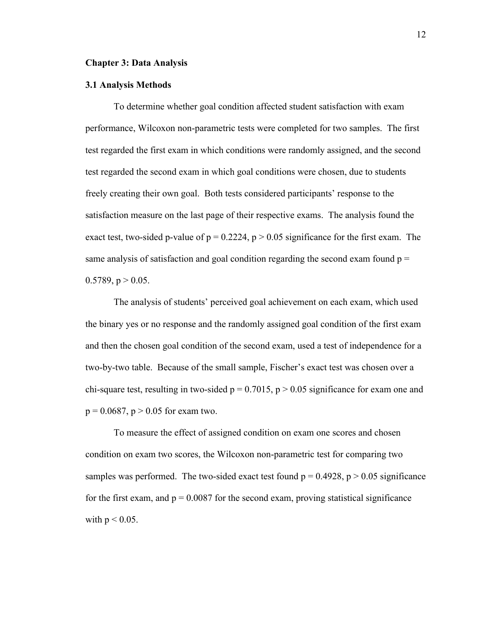#### **Chapter 3: Data Analysis**

#### **3.1 Analysis Methods**

To determine whether goal condition affected student satisfaction with exam performance, Wilcoxon non-parametric tests were completed for two samples. The first test regarded the first exam in which conditions were randomly assigned, and the second test regarded the second exam in which goal conditions were chosen, due to students freely creating their own goal. Both tests considered participants' response to the satisfaction measure on the last page of their respective exams. The analysis found the exact test, two-sided p-value of  $p = 0.2224$ ,  $p > 0.05$  significance for the first exam. The same analysis of satisfaction and goal condition regarding the second exam found  $p =$ 0.5789,  $p > 0.05$ .

The analysis of students' perceived goal achievement on each exam, which used the binary yes or no response and the randomly assigned goal condition of the first exam and then the chosen goal condition of the second exam, used a test of independence for a two-by-two table. Because of the small sample, Fischer's exact test was chosen over a chi-square test, resulting in two-sided  $p = 0.7015$ ,  $p > 0.05$  significance for exam one and  $p = 0.0687$ ,  $p > 0.05$  for exam two.

To measure the effect of assigned condition on exam one scores and chosen condition on exam two scores, the Wilcoxon non-parametric test for comparing two samples was performed. The two-sided exact test found  $p = 0.4928$ ,  $p > 0.05$  significance for the first exam, and  $p = 0.0087$  for the second exam, proving statistical significance with  $p < 0.05$ .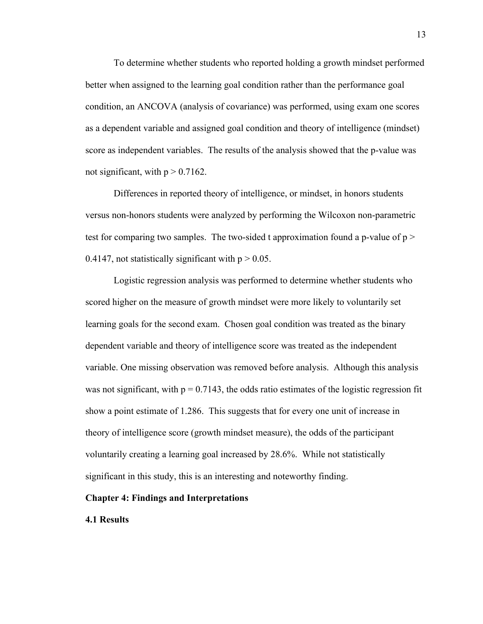To determine whether students who reported holding a growth mindset performed better when assigned to the learning goal condition rather than the performance goal condition, an ANCOVA (analysis of covariance) was performed, using exam one scores as a dependent variable and assigned goal condition and theory of intelligence (mindset) score as independent variables. The results of the analysis showed that the p-value was not significant, with  $p > 0.7162$ .

Differences in reported theory of intelligence, or mindset, in honors students versus non-honors students were analyzed by performing the Wilcoxon non-parametric test for comparing two samples. The two-sided t approximation found a p-value of  $p >$ 0.4147, not statistically significant with  $p > 0.05$ .

Logistic regression analysis was performed to determine whether students who scored higher on the measure of growth mindset were more likely to voluntarily set learning goals for the second exam. Chosen goal condition was treated as the binary dependent variable and theory of intelligence score was treated as the independent variable. One missing observation was removed before analysis. Although this analysis was not significant, with  $p = 0.7143$ , the odds ratio estimates of the logistic regression fit show a point estimate of 1.286. This suggests that for every one unit of increase in theory of intelligence score (growth mindset measure), the odds of the participant voluntarily creating a learning goal increased by 28.6%. While not statistically significant in this study, this is an interesting and noteworthy finding.

## **Chapter 4: Findings and Interpretations**

## **4.1 Results**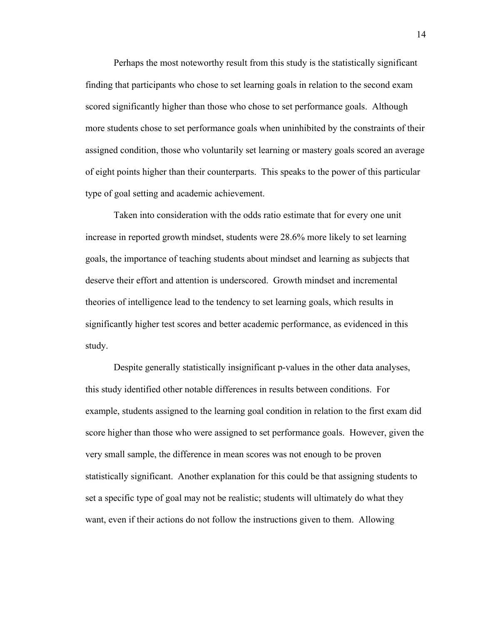Perhaps the most noteworthy result from this study is the statistically significant finding that participants who chose to set learning goals in relation to the second exam scored significantly higher than those who chose to set performance goals. Although more students chose to set performance goals when uninhibited by the constraints of their assigned condition, those who voluntarily set learning or mastery goals scored an average of eight points higher than their counterparts. This speaks to the power of this particular type of goal setting and academic achievement.

Taken into consideration with the odds ratio estimate that for every one unit increase in reported growth mindset, students were 28.6% more likely to set learning goals, the importance of teaching students about mindset and learning as subjects that deserve their effort and attention is underscored. Growth mindset and incremental theories of intelligence lead to the tendency to set learning goals, which results in significantly higher test scores and better academic performance, as evidenced in this study.

Despite generally statistically insignificant p-values in the other data analyses, this study identified other notable differences in results between conditions. For example, students assigned to the learning goal condition in relation to the first exam did score higher than those who were assigned to set performance goals. However, given the very small sample, the difference in mean scores was not enough to be proven statistically significant. Another explanation for this could be that assigning students to set a specific type of goal may not be realistic; students will ultimately do what they want, even if their actions do not follow the instructions given to them. Allowing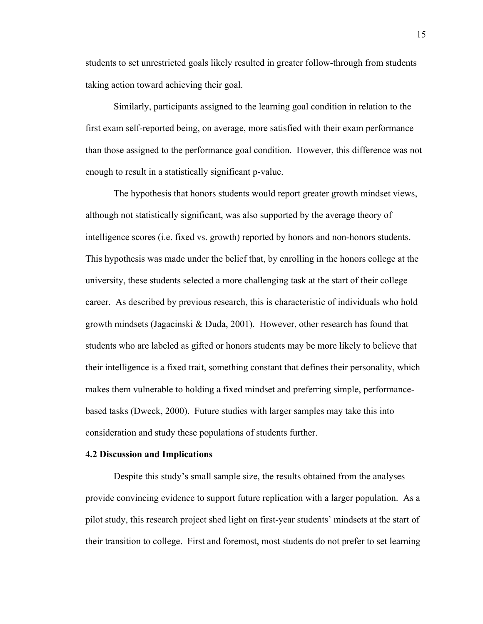students to set unrestricted goals likely resulted in greater follow-through from students taking action toward achieving their goal.

Similarly, participants assigned to the learning goal condition in relation to the first exam self-reported being, on average, more satisfied with their exam performance than those assigned to the performance goal condition. However, this difference was not enough to result in a statistically significant p-value.

The hypothesis that honors students would report greater growth mindset views, although not statistically significant, was also supported by the average theory of intelligence scores (i.e. fixed vs. growth) reported by honors and non-honors students. This hypothesis was made under the belief that, by enrolling in the honors college at the university, these students selected a more challenging task at the start of their college career. As described by previous research, this is characteristic of individuals who hold growth mindsets (Jagacinski & Duda, 2001). However, other research has found that students who are labeled as gifted or honors students may be more likely to believe that their intelligence is a fixed trait, something constant that defines their personality, which makes them vulnerable to holding a fixed mindset and preferring simple, performancebased tasks (Dweck, 2000). Future studies with larger samples may take this into consideration and study these populations of students further.

## **4.2 Discussion and Implications**

Despite this study's small sample size, the results obtained from the analyses provide convincing evidence to support future replication with a larger population. As a pilot study, this research project shed light on first-year students' mindsets at the start of their transition to college. First and foremost, most students do not prefer to set learning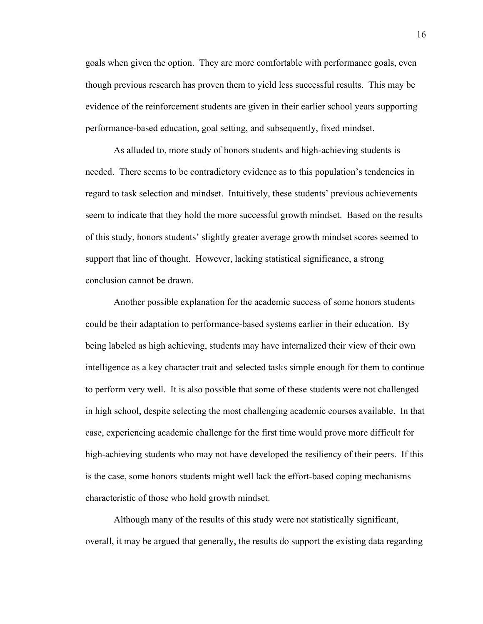goals when given the option. They are more comfortable with performance goals, even though previous research has proven them to yield less successful results. This may be evidence of the reinforcement students are given in their earlier school years supporting performance-based education, goal setting, and subsequently, fixed mindset.

As alluded to, more study of honors students and high-achieving students is needed. There seems to be contradictory evidence as to this population's tendencies in regard to task selection and mindset. Intuitively, these students' previous achievements seem to indicate that they hold the more successful growth mindset. Based on the results of this study, honors students' slightly greater average growth mindset scores seemed to support that line of thought. However, lacking statistical significance, a strong conclusion cannot be drawn.

Another possible explanation for the academic success of some honors students could be their adaptation to performance-based systems earlier in their education. By being labeled as high achieving, students may have internalized their view of their own intelligence as a key character trait and selected tasks simple enough for them to continue to perform very well. It is also possible that some of these students were not challenged in high school, despite selecting the most challenging academic courses available. In that case, experiencing academic challenge for the first time would prove more difficult for high-achieving students who may not have developed the resiliency of their peers. If this is the case, some honors students might well lack the effort-based coping mechanisms characteristic of those who hold growth mindset.

Although many of the results of this study were not statistically significant, overall, it may be argued that generally, the results do support the existing data regarding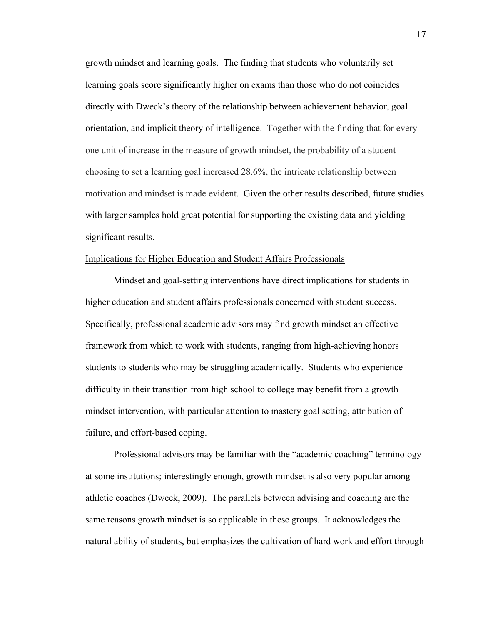growth mindset and learning goals. The finding that students who voluntarily set learning goals score significantly higher on exams than those who do not coincides directly with Dweck's theory of the relationship between achievement behavior, goal orientation, and implicit theory of intelligence. Together with the finding that for every one unit of increase in the measure of growth mindset, the probability of a student choosing to set a learning goal increased 28.6%, the intricate relationship between motivation and mindset is made evident. Given the other results described, future studies with larger samples hold great potential for supporting the existing data and yielding significant results.

## Implications for Higher Education and Student Affairs Professionals

Mindset and goal-setting interventions have direct implications for students in higher education and student affairs professionals concerned with student success. Specifically, professional academic advisors may find growth mindset an effective framework from which to work with students, ranging from high-achieving honors students to students who may be struggling academically. Students who experience difficulty in their transition from high school to college may benefit from a growth mindset intervention, with particular attention to mastery goal setting, attribution of failure, and effort-based coping.

Professional advisors may be familiar with the "academic coaching" terminology at some institutions; interestingly enough, growth mindset is also very popular among athletic coaches (Dweck, 2009). The parallels between advising and coaching are the same reasons growth mindset is so applicable in these groups. It acknowledges the natural ability of students, but emphasizes the cultivation of hard work and effort through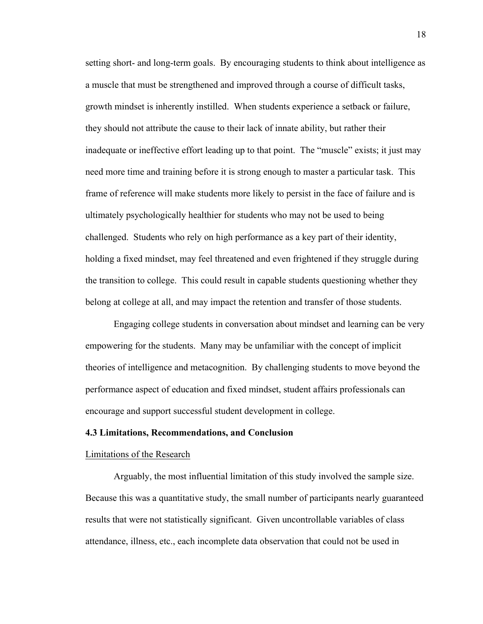setting short- and long-term goals. By encouraging students to think about intelligence as a muscle that must be strengthened and improved through a course of difficult tasks, growth mindset is inherently instilled. When students experience a setback or failure, they should not attribute the cause to their lack of innate ability, but rather their inadequate or ineffective effort leading up to that point. The "muscle" exists; it just may need more time and training before it is strong enough to master a particular task. This frame of reference will make students more likely to persist in the face of failure and is ultimately psychologically healthier for students who may not be used to being challenged. Students who rely on high performance as a key part of their identity, holding a fixed mindset, may feel threatened and even frightened if they struggle during the transition to college. This could result in capable students questioning whether they belong at college at all, and may impact the retention and transfer of those students.

Engaging college students in conversation about mindset and learning can be very empowering for the students. Many may be unfamiliar with the concept of implicit theories of intelligence and metacognition. By challenging students to move beyond the performance aspect of education and fixed mindset, student affairs professionals can encourage and support successful student development in college.

## **4.3 Limitations, Recommendations, and Conclusion**

#### Limitations of the Research

Arguably, the most influential limitation of this study involved the sample size. Because this was a quantitative study, the small number of participants nearly guaranteed results that were not statistically significant. Given uncontrollable variables of class attendance, illness, etc., each incomplete data observation that could not be used in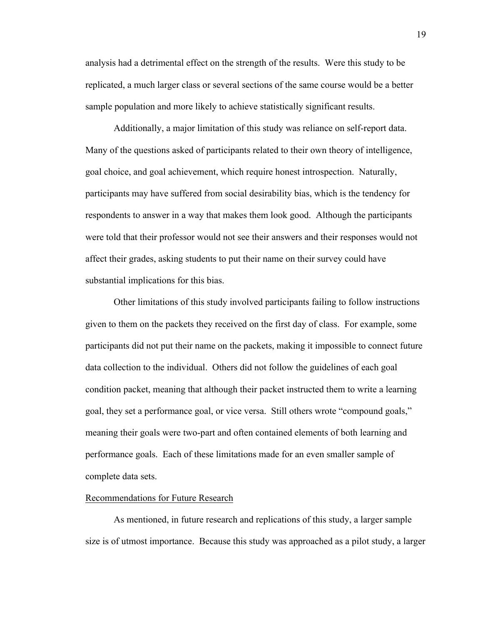analysis had a detrimental effect on the strength of the results. Were this study to be replicated, a much larger class or several sections of the same course would be a better sample population and more likely to achieve statistically significant results.

Additionally, a major limitation of this study was reliance on self-report data. Many of the questions asked of participants related to their own theory of intelligence, goal choice, and goal achievement, which require honest introspection. Naturally, participants may have suffered from social desirability bias, which is the tendency for respondents to answer in a way that makes them look good. Although the participants were told that their professor would not see their answers and their responses would not affect their grades, asking students to put their name on their survey could have substantial implications for this bias.

Other limitations of this study involved participants failing to follow instructions given to them on the packets they received on the first day of class. For example, some participants did not put their name on the packets, making it impossible to connect future data collection to the individual. Others did not follow the guidelines of each goal condition packet, meaning that although their packet instructed them to write a learning goal, they set a performance goal, or vice versa. Still others wrote "compound goals," meaning their goals were two-part and often contained elements of both learning and performance goals. Each of these limitations made for an even smaller sample of complete data sets.

### Recommendations for Future Research

As mentioned, in future research and replications of this study, a larger sample size is of utmost importance. Because this study was approached as a pilot study, a larger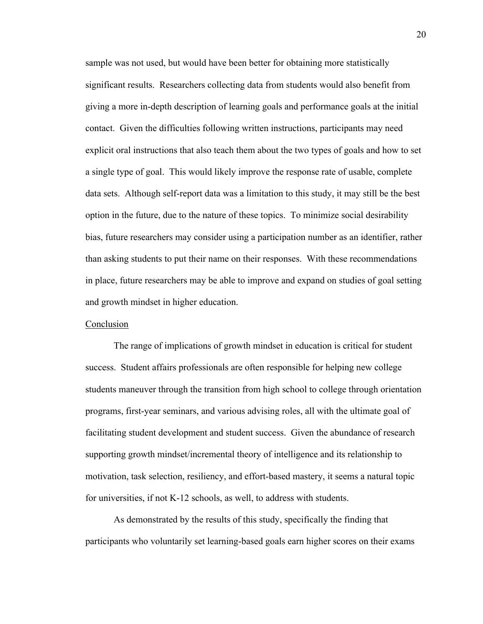sample was not used, but would have been better for obtaining more statistically significant results. Researchers collecting data from students would also benefit from giving a more in-depth description of learning goals and performance goals at the initial contact. Given the difficulties following written instructions, participants may need explicit oral instructions that also teach them about the two types of goals and how to set a single type of goal. This would likely improve the response rate of usable, complete data sets. Although self-report data was a limitation to this study, it may still be the best option in the future, due to the nature of these topics. To minimize social desirability bias, future researchers may consider using a participation number as an identifier, rather than asking students to put their name on their responses. With these recommendations in place, future researchers may be able to improve and expand on studies of goal setting and growth mindset in higher education.

## Conclusion

The range of implications of growth mindset in education is critical for student success. Student affairs professionals are often responsible for helping new college students maneuver through the transition from high school to college through orientation programs, first-year seminars, and various advising roles, all with the ultimate goal of facilitating student development and student success. Given the abundance of research supporting growth mindset/incremental theory of intelligence and its relationship to motivation, task selection, resiliency, and effort-based mastery, it seems a natural topic for universities, if not K-12 schools, as well, to address with students.

As demonstrated by the results of this study, specifically the finding that participants who voluntarily set learning-based goals earn higher scores on their exams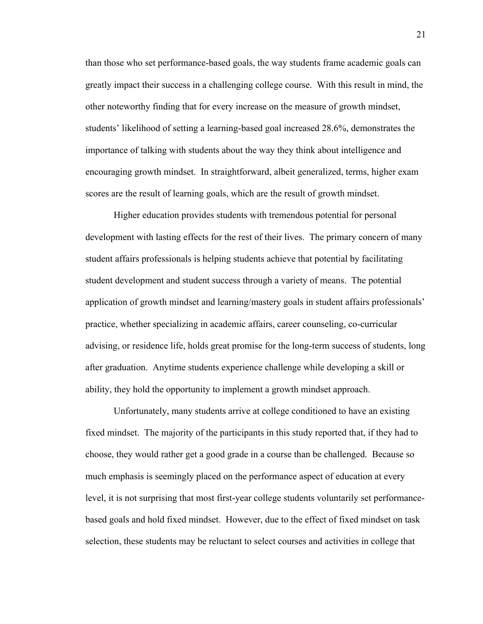than those who set performance-based goals, the way students frame academic goals can greatly impact their success in a challenging college course. With this result in mind, the other noteworthy finding that for every increase on the measure of growth mindset, students' likelihood of setting a learning-based goal increased 28.6%, demonstrates the importance of talking with students about the way they think about intelligence and encouraging growth mindset. In straightforward, albeit generalized, terms, higher exam scores are the result of learning goals, which are the result of growth mindset.

Higher education provides students with tremendous potential for personal development with lasting effects for the rest of their lives. The primary concern of many student affairs professionals is helping students achieve that potential by facilitating student development and student success through a variety of means. The potential application of growth mindset and learning/mastery goals in student affairs professionals' practice, whether specializing in academic affairs, career counseling, co-curricular advising, or residence life, holds great promise for the long-term success of students, long after graduation. Anytime students experience challenge while developing a skill or ability, they hold the opportunity to implement a growth mindset approach.

Unfortunately, many students arrive at college conditioned to have an existing fixed mindset. The majority of the participants in this study reported that, if they had to choose, they would rather get a good grade in a course than be challenged. Because so much emphasis is seemingly placed on the performance aspect of education at every level, it is not surprising that most first-year college students voluntarily set performancebased goals and hold fixed mindset. However, due to the effect of fixed mindset on task selection, these students may be reluctant to select courses and activities in college that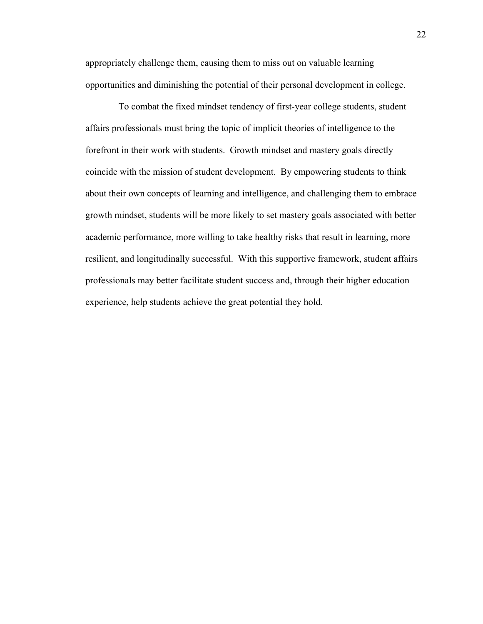appropriately challenge them, causing them to miss out on valuable learning opportunities and diminishing the potential of their personal development in college.

 To combat the fixed mindset tendency of first-year college students, student affairs professionals must bring the topic of implicit theories of intelligence to the forefront in their work with students. Growth mindset and mastery goals directly coincide with the mission of student development. By empowering students to think about their own concepts of learning and intelligence, and challenging them to embrace growth mindset, students will be more likely to set mastery goals associated with better academic performance, more willing to take healthy risks that result in learning, more resilient, and longitudinally successful. With this supportive framework, student affairs professionals may better facilitate student success and, through their higher education experience, help students achieve the great potential they hold.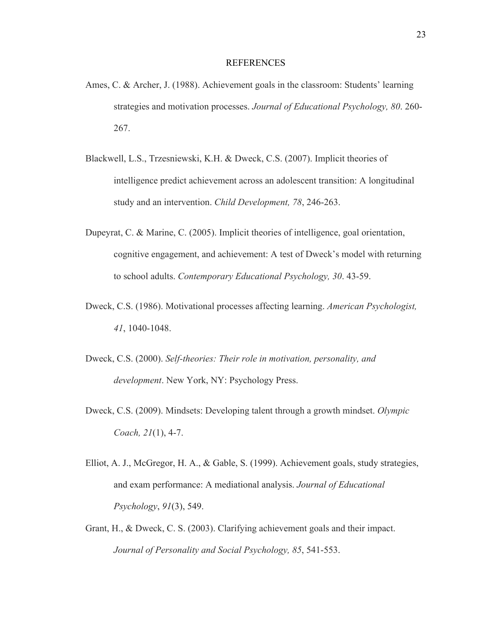#### REFERENCES

- Ames, C. & Archer, J. (1988). Achievement goals in the classroom: Students' learning strategies and motivation processes. *Journal of Educational Psychology, 80*. 260- 267.
- Blackwell, L.S., Trzesniewski, K.H. & Dweck, C.S. (2007). Implicit theories of intelligence predict achievement across an adolescent transition: A longitudinal study and an intervention. *Child Development, 78*, 246-263.
- Dupeyrat, C. & Marine, C. (2005). Implicit theories of intelligence, goal orientation, cognitive engagement, and achievement: A test of Dweck's model with returning to school adults. *Contemporary Educational Psychology, 30*. 43-59.
- Dweck, C.S. (1986). Motivational processes affecting learning. *American Psychologist, 41*, 1040-1048.
- Dweck, C.S. (2000). *Self-theories: Their role in motivation, personality, and development*. New York, NY: Psychology Press.
- Dweck, C.S. (2009). Mindsets: Developing talent through a growth mindset. *Olympic Coach, 21*(1), 4-7.
- Elliot, A. J., McGregor, H. A., & Gable, S. (1999). Achievement goals, study strategies, and exam performance: A mediational analysis. *Journal of Educational Psychology*, *91*(3), 549.
- Grant, H., & Dweck, C. S. (2003). Clarifying achievement goals and their impact. *Journal of Personality and Social Psychology, 85*, 541-553.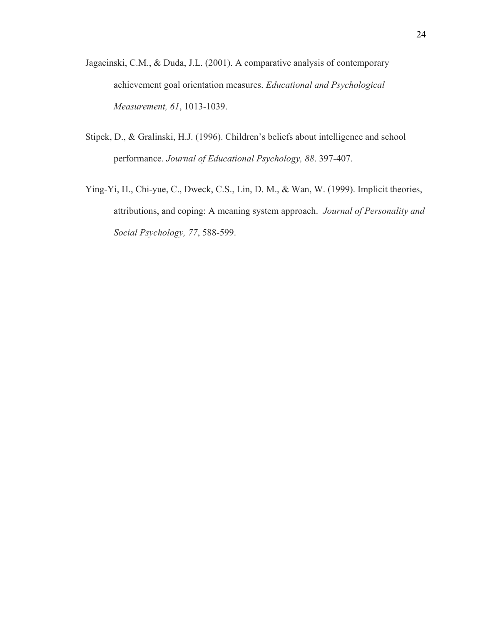- Jagacinski, C.M., & Duda, J.L. (2001). A comparative analysis of contemporary achievement goal orientation measures. *Educational and Psychological Measurement, 61*, 1013-1039.
- Stipek, D., & Gralinski, H.J. (1996). Children's beliefs about intelligence and school performance. *Journal of Educational Psychology, 88*. 397-407.
- Ying-Yi, H., Chi-yue, C., Dweck, C.S., Lin, D. M., & Wan, W. (1999). Implicit theories, attributions, and coping: A meaning system approach. *Journal of Personality and Social Psychology, 77*, 588-599.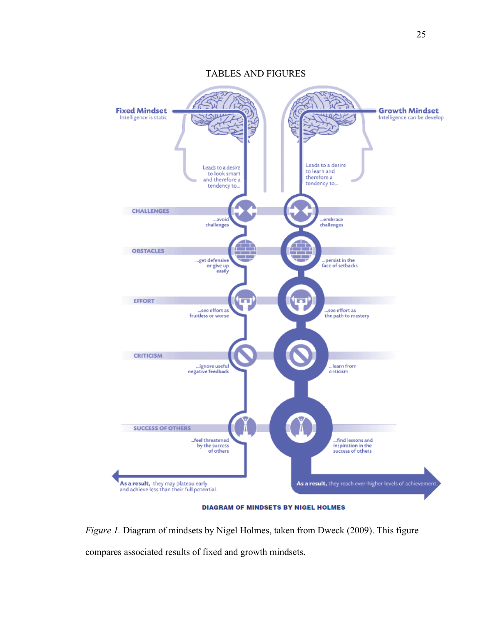TABLES AND FIGURES



**DIAGRAM OF MINDSETS BY NIGEL HOLMES** 

*Figure 1.* Diagram of mindsets by Nigel Holmes, taken from Dweck (2009). This figure compares associated results of fixed and growth mindsets.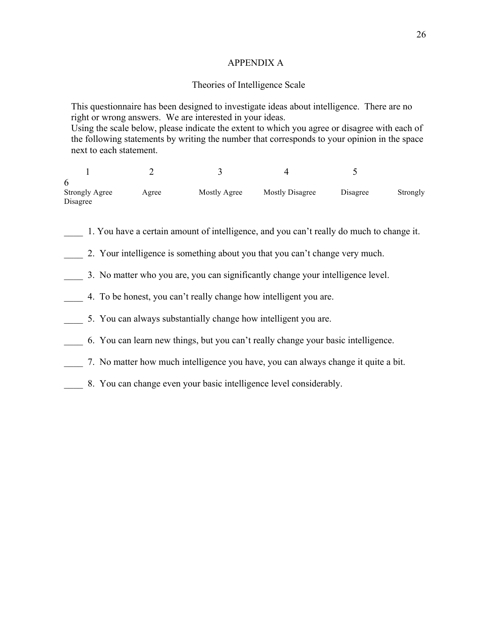## APPENDIX A

## Theories of Intelligence Scale

This questionnaire has been designed to investigate ideas about intelligence. There are no right or wrong answers. We are interested in your ideas. Using the scale below, please indicate the extent to which you agree or disagree with each of the following statements by writing the number that corresponds to your opinion in the space next to each statement.

1 2 3 4 5 6 Strongly Agree Agree Mostly Agree Mostly Disagree Disagree Strongly Disagree

- \_\_\_\_ 1. You have a certain amount of intelligence, and you can't really do much to change it.
- 2. Your intelligence is something about you that you can't change very much.
- \_\_\_\_ 3. No matter who you are, you can significantly change your intelligence level.
- \_\_\_\_ 4. To be honest, you can't really change how intelligent you are.
- \_\_\_\_ 5. You can always substantially change how intelligent you are.
- \_\_\_\_ 6. You can learn new things, but you can't really change your basic intelligence.
- \_\_\_\_ 7. No matter how much intelligence you have, you can always change it quite a bit.
- \_\_\_\_ 8. You can change even your basic intelligence level considerably.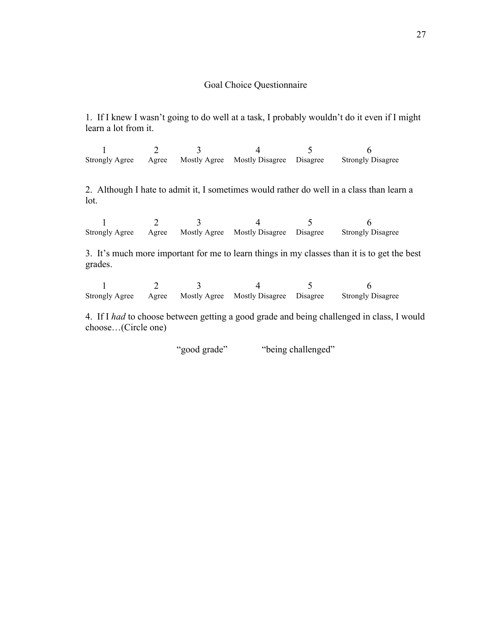## Goal Choice Questionnaire

1. If I knew I wasn't going to do well at a task, I probably wouldn't do it even if I might learn a lot from it.

1 2 3 4 5 6 Strongly Agree Agree Mostly Agree Mostly Disagree Disagree Strongly Disagree

2. Although I hate to admit it, I sometimes would rather do well in a class than learn a lot.

1 2 3 4 5 6 Strongly Agree Agree Mostly Agree Mostly Disagree Disagree Strongly Disagree

3. It's much more important for me to learn things in my classes than it is to get the best grades.

1 2 3 4 5 6 Strongly Agree Agree Mostly Agree Mostly Disagree Disagree Strongly Disagree

4. If I *had* to choose between getting a good grade and being challenged in class, I would choose…(Circle one)

"good grade" "being challenged"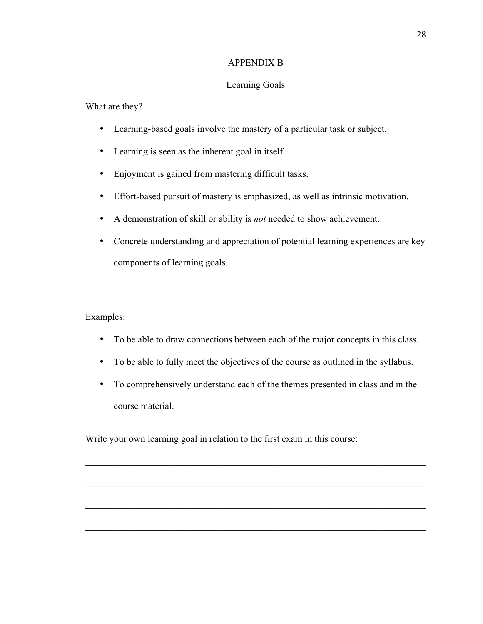## APPENDIX B

## Learning Goals

## What are they?

- Learning-based goals involve the mastery of a particular task or subject.
- Learning is seen as the inherent goal in itself.
- Enjoyment is gained from mastering difficult tasks.
- Effort-based pursuit of mastery is emphasized, as well as intrinsic motivation.
- A demonstration of skill or ability is *not* needed to show achievement.
- Concrete understanding and appreciation of potential learning experiences are key components of learning goals.

## Examples:

- To be able to draw connections between each of the major concepts in this class.
- To be able to fully meet the objectives of the course as outlined in the syllabus.
- To comprehensively understand each of the themes presented in class and in the course material.

 $\mathcal{L}_\mathcal{L} = \{ \mathcal{L}_\mathcal{L} = \{ \mathcal{L}_\mathcal{L} = \{ \mathcal{L}_\mathcal{L} = \{ \mathcal{L}_\mathcal{L} = \{ \mathcal{L}_\mathcal{L} = \{ \mathcal{L}_\mathcal{L} = \{ \mathcal{L}_\mathcal{L} = \{ \mathcal{L}_\mathcal{L} = \{ \mathcal{L}_\mathcal{L} = \{ \mathcal{L}_\mathcal{L} = \{ \mathcal{L}_\mathcal{L} = \{ \mathcal{L}_\mathcal{L} = \{ \mathcal{L}_\mathcal{L} = \{ \mathcal{L}_\mathcal{$ 

 $\mathcal{L}_\text{max} = \mathcal{L}_\text{max} = \mathcal{L}_\text{max} = \mathcal{L}_\text{max} = \mathcal{L}_\text{max} = \mathcal{L}_\text{max} = \mathcal{L}_\text{max} = \mathcal{L}_\text{max} = \mathcal{L}_\text{max} = \mathcal{L}_\text{max} = \mathcal{L}_\text{max} = \mathcal{L}_\text{max} = \mathcal{L}_\text{max} = \mathcal{L}_\text{max} = \mathcal{L}_\text{max} = \mathcal{L}_\text{max} = \mathcal{L}_\text{max} = \mathcal{L}_\text{max} = \mathcal{$ 

 $\mathcal{L}_\mathcal{L} = \{ \mathcal{L}_\mathcal{L} = \{ \mathcal{L}_\mathcal{L} = \{ \mathcal{L}_\mathcal{L} = \{ \mathcal{L}_\mathcal{L} = \{ \mathcal{L}_\mathcal{L} = \{ \mathcal{L}_\mathcal{L} = \{ \mathcal{L}_\mathcal{L} = \{ \mathcal{L}_\mathcal{L} = \{ \mathcal{L}_\mathcal{L} = \{ \mathcal{L}_\mathcal{L} = \{ \mathcal{L}_\mathcal{L} = \{ \mathcal{L}_\mathcal{L} = \{ \mathcal{L}_\mathcal{L} = \{ \mathcal{L}_\mathcal{$ 

 $\mathcal{L}_\mathcal{L} = \{ \mathcal{L}_\mathcal{L} = \{ \mathcal{L}_\mathcal{L} = \{ \mathcal{L}_\mathcal{L} = \{ \mathcal{L}_\mathcal{L} = \{ \mathcal{L}_\mathcal{L} = \{ \mathcal{L}_\mathcal{L} = \{ \mathcal{L}_\mathcal{L} = \{ \mathcal{L}_\mathcal{L} = \{ \mathcal{L}_\mathcal{L} = \{ \mathcal{L}_\mathcal{L} = \{ \mathcal{L}_\mathcal{L} = \{ \mathcal{L}_\mathcal{L} = \{ \mathcal{L}_\mathcal{L} = \{ \mathcal{L}_\mathcal{$ 

Write your own learning goal in relation to the first exam in this course: